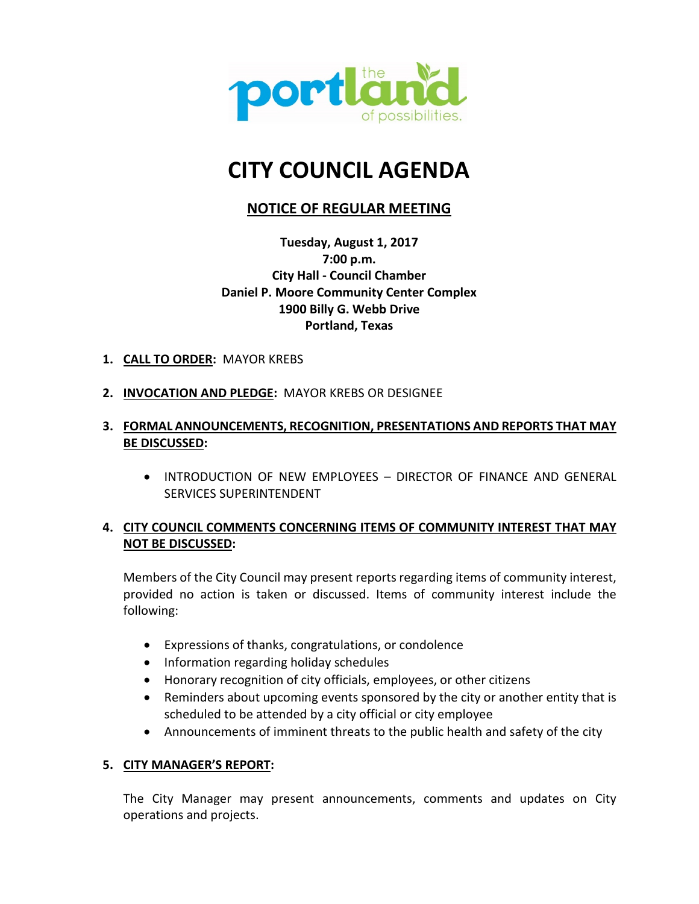

# **CITY COUNCIL AGENDA**

# **NOTICE OF REGULAR MEETING**

**Tuesday, August 1, 2017 7:00 p.m. City Hall - Council Chamber Daniel P. Moore Community Center Complex 1900 Billy G. Webb Drive Portland, Texas**

- **1. CALL TO ORDER:** MAYOR KREBS
- **2. INVOCATION AND PLEDGE:** MAYOR KREBS OR DESIGNEE

# **3. FORMAL ANNOUNCEMENTS, RECOGNITION, PRESENTATIONS AND REPORTS THAT MAY BE DISCUSSED:**

• INTRODUCTION OF NEW EMPLOYEES – DIRECTOR OF FINANCE AND GENERAL SERVICES SUPERINTENDENT

# **4. CITY COUNCIL COMMENTS CONCERNING ITEMS OF COMMUNITY INTEREST THAT MAY NOT BE DISCUSSED:**

Members of the City Council may present reports regarding items of community interest, provided no action is taken or discussed. Items of community interest include the following:

- Expressions of thanks, congratulations, or condolence
- Information regarding holiday schedules
- Honorary recognition of city officials, employees, or other citizens
- Reminders about upcoming events sponsored by the city or another entity that is scheduled to be attended by a city official or city employee
- Announcements of imminent threats to the public health and safety of the city

# **5. CITY MANAGER'S REPORT:**

The City Manager may present announcements, comments and updates on City operations and projects.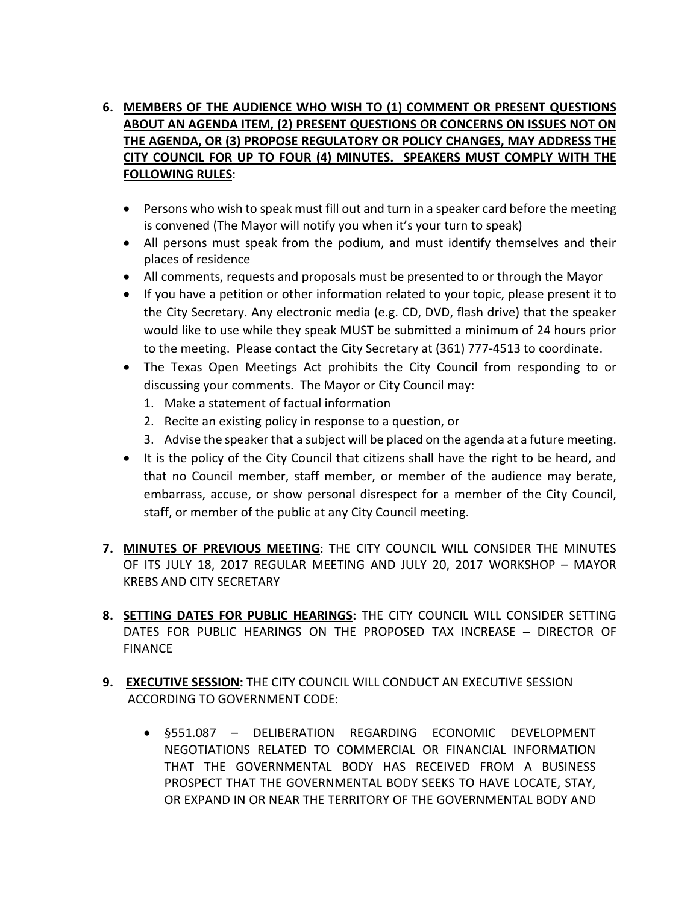# **6. MEMBERS OF THE AUDIENCE WHO WISH TO (1) COMMENT OR PRESENT QUESTIONS ABOUT AN AGENDA ITEM, (2) PRESENT QUESTIONS OR CONCERNS ON ISSUES NOT ON THE AGENDA, OR (3) PROPOSE REGULATORY OR POLICY CHANGES, MAY ADDRESS THE CITY COUNCIL FOR UP TO FOUR (4) MINUTES. SPEAKERS MUST COMPLY WITH THE FOLLOWING RULES**:

- Persons who wish to speak must fill out and turn in a speaker card before the meeting is convened (The Mayor will notify you when it's your turn to speak)
- All persons must speak from the podium, and must identify themselves and their places of residence
- All comments, requests and proposals must be presented to or through the Mayor
- If you have a petition or other information related to your topic, please present it to the City Secretary. Any electronic media (e.g. CD, DVD, flash drive) that the speaker would like to use while they speak MUST be submitted a minimum of 24 hours prior to the meeting. Please contact the City Secretary at (361) 777-4513 to coordinate.
- The Texas Open Meetings Act prohibits the City Council from responding to or discussing your comments. The Mayor or City Council may:
	- 1. Make a statement of factual information
	- 2. Recite an existing policy in response to a question, or
	- 3. Advise the speaker that a subject will be placed on the agenda at a future meeting.
- It is the policy of the City Council that citizens shall have the right to be heard, and that no Council member, staff member, or member of the audience may berate, embarrass, accuse, or show personal disrespect for a member of the City Council, staff, or member of the public at any City Council meeting.
- **7. MINUTES OF PREVIOUS MEETING**: THE CITY COUNCIL WILL CONSIDER THE MINUTES OF ITS JULY 18, 2017 REGULAR MEETING AND JULY 20, 2017 WORKSHOP – MAYOR KREBS AND CITY SECRETARY
- **8. SETTING DATES FOR PUBLIC HEARINGS:** THE CITY COUNCIL WILL CONSIDER SETTING DATES FOR PUBLIC HEARINGS ON THE PROPOSED TAX INCREASE **–** DIRECTOR OF **FINANCF**
- **9. EXECUTIVE SESSION:** THE CITY COUNCIL WILL CONDUCT AN EXECUTIVE SESSION ACCORDING TO GOVERNMENT CODE:
	- §551.087 DELIBERATION REGARDING ECONOMIC DEVELOPMENT NEGOTIATIONS RELATED TO COMMERCIAL OR FINANCIAL INFORMATION THAT THE GOVERNMENTAL BODY HAS RECEIVED FROM A BUSINESS PROSPECT THAT THE GOVERNMENTAL BODY SEEKS TO HAVE LOCATE, STAY, OR EXPAND IN OR NEAR THE TERRITORY OF THE GOVERNMENTAL BODY AND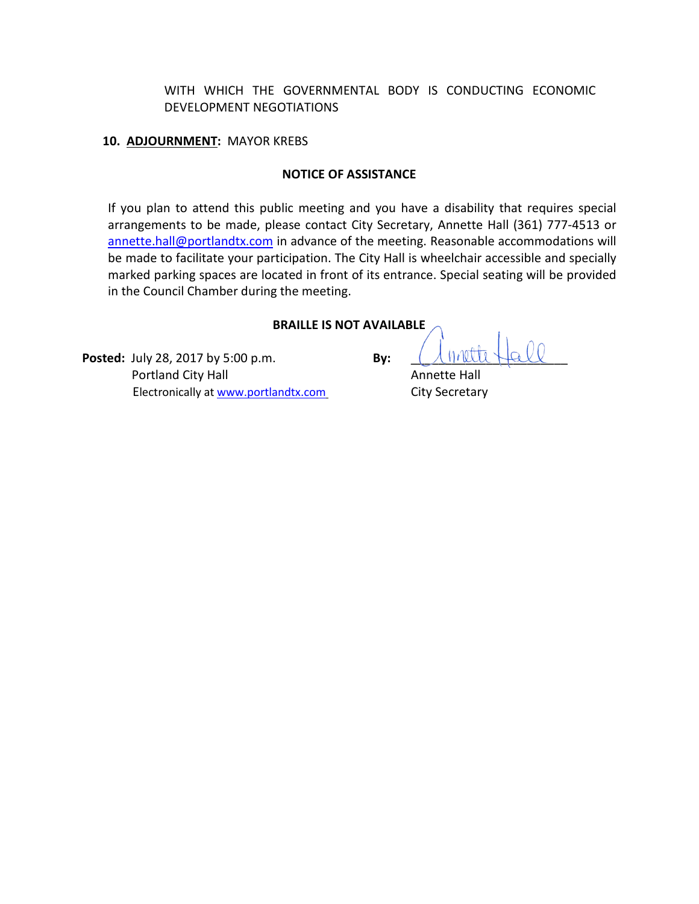WITH WHICH THE GOVERNMENTAL BODY IS CONDUCTING ECONOMIC DEVELOPMENT NEGOTIATIONS

#### **10. ADJOURNMENT:** MAYOR KREBS

#### **NOTICE OF ASSISTANCE**

If you plan to attend this public meeting and you have a disability that requires special arrangements to be made, please contact City Secretary, Annette Hall (361) 777-4513 or annette.hall@portlandtx.com in advance of the meeting. Reasonable accommodations will be made to facilitate your participation. The City Hall is wheelchair accessible and specially marked parking spaces are located in front of its entrance. Special seating will be provided in the Council Chamber during the meeting.

#### **BRAILLE IS NOT AVAILABLE**

**Posted:** July 28, 2017 by 5:00 p.m. **By: Portland City Hall Annette Hall** Electronically at www.portlandtx.com City Secretary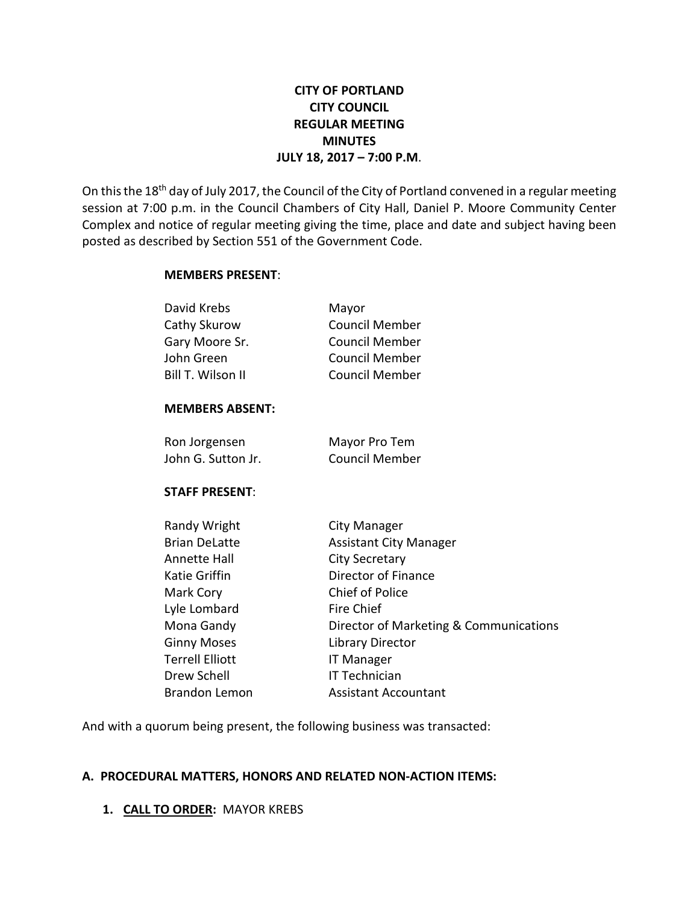# **CITY OF PORTLAND CITY COUNCIL REGULAR MEETING MINUTES JULY 18, 2017 – 7:00 P.M**.

On this the 18<sup>th</sup> day of July 2017, the Council of the City of Portland convened in a regular meeting session at 7:00 p.m. in the Council Chambers of City Hall, Daniel P. Moore Community Center Complex and notice of regular meeting giving the time, place and date and subject having been posted as described by Section 551 of the Government Code.

#### **MEMBERS PRESENT**:

| David Krebs            | Mayor                                  |
|------------------------|----------------------------------------|
| Cathy Skurow           | <b>Council Member</b>                  |
| Gary Moore Sr.         | <b>Council Member</b>                  |
| John Green             | <b>Council Member</b>                  |
| Bill T. Wilson II      | <b>Council Member</b>                  |
| <b>MEMBERS ABSENT:</b> |                                        |
| Ron Jorgensen          | Mayor Pro Tem                          |
| John G. Sutton Jr.     | <b>Council Member</b>                  |
| <b>STAFF PRESENT:</b>  |                                        |
| Randy Wright           | City Manager                           |
| <b>Brian DeLatte</b>   | <b>Assistant City Manager</b>          |
| Annette Hall           | <b>City Secretary</b>                  |
| <b>Katie Griffin</b>   | Director of Finance                    |
| Mark Cory              | <b>Chief of Police</b>                 |
| Lyle Lombard           | <b>Fire Chief</b>                      |
| Mona Gandy             | Director of Marketing & Communications |
| <b>Ginny Moses</b>     | <b>Library Director</b>                |
| <b>Terrell Elliott</b> | <b>IT Manager</b>                      |
| Drew Schell            | IT Technician                          |
| <b>Brandon Lemon</b>   | <b>Assistant Accountant</b>            |
|                        |                                        |

And with a quorum being present, the following business was transacted:

## **A. PROCEDURAL MATTERS, HONORS AND RELATED NON-ACTION ITEMS:**

## **1. CALL TO ORDER:** MAYOR KREBS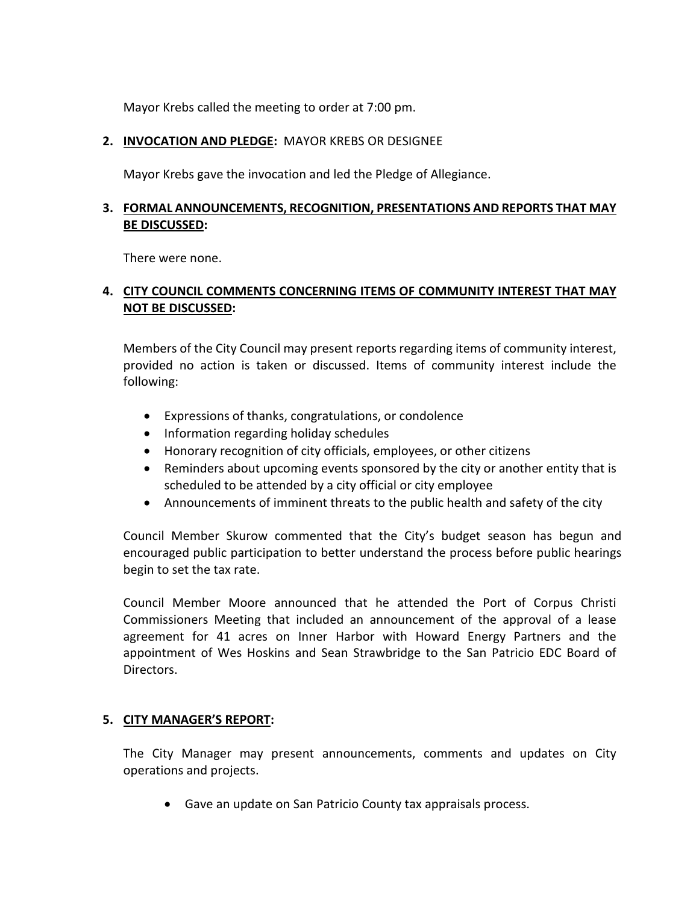Mayor Krebs called the meeting to order at 7:00 pm.

## **2. INVOCATION AND PLEDGE:** MAYOR KREBS OR DESIGNEE

Mayor Krebs gave the invocation and led the Pledge of Allegiance.

## **3. FORMAL ANNOUNCEMENTS, RECOGNITION, PRESENTATIONS AND REPORTS THAT MAY BE DISCUSSED:**

There were none.

# **4. CITY COUNCIL COMMENTS CONCERNING ITEMS OF COMMUNITY INTEREST THAT MAY NOT BE DISCUSSED:**

Members of the City Council may present reports regarding items of community interest, provided no action is taken or discussed. Items of community interest include the following:

- Expressions of thanks, congratulations, or condolence
- Information regarding holiday schedules
- Honorary recognition of city officials, employees, or other citizens
- Reminders about upcoming events sponsored by the city or another entity that is scheduled to be attended by a city official or city employee
- Announcements of imminent threats to the public health and safety of the city

Council Member Skurow commented that the City's budget season has begun and encouraged public participation to better understand the process before public hearings begin to set the tax rate.

Council Member Moore announced that he attended the Port of Corpus Christi Commissioners Meeting that included an announcement of the approval of a lease agreement for 41 acres on Inner Harbor with Howard Energy Partners and the appointment of Wes Hoskins and Sean Strawbridge to the San Patricio EDC Board of Directors.

## **5. CITY MANAGER'S REPORT:**

The City Manager may present announcements, comments and updates on City operations and projects.

• Gave an update on San Patricio County tax appraisals process.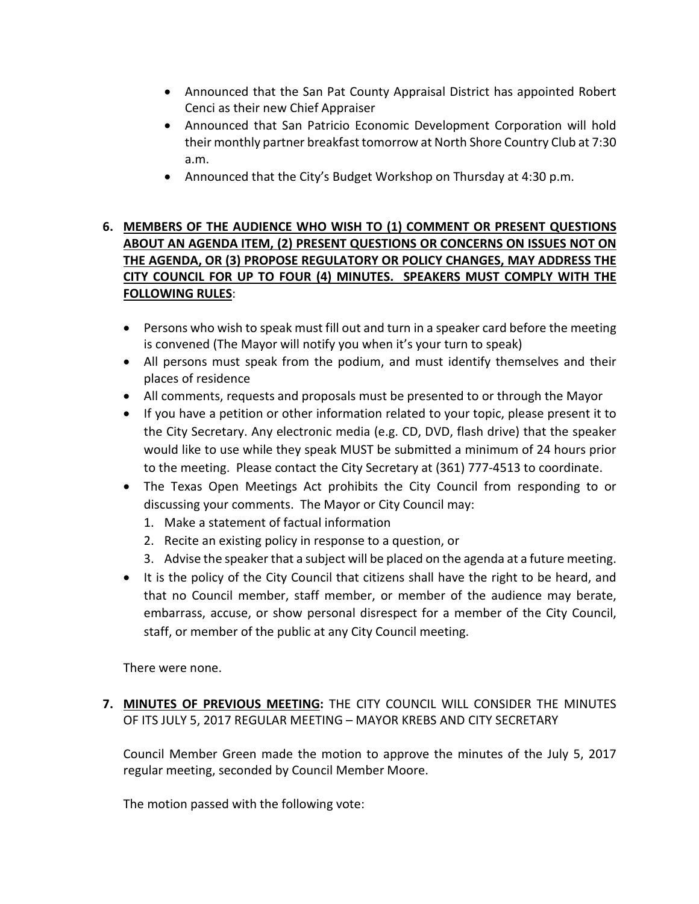- Announced that the San Pat County Appraisal District has appointed Robert Cenci as their new Chief Appraiser
- Announced that San Patricio Economic Development Corporation will hold their monthly partner breakfast tomorrow at North Shore Country Club at 7:30 a.m.
- Announced that the City's Budget Workshop on Thursday at 4:30 p.m.

# **6. MEMBERS OF THE AUDIENCE WHO WISH TO (1) COMMENT OR PRESENT QUESTIONS ABOUT AN AGENDA ITEM, (2) PRESENT QUESTIONS OR CONCERNS ON ISSUES NOT ON THE AGENDA, OR (3) PROPOSE REGULATORY OR POLICY CHANGES, MAY ADDRESS THE CITY COUNCIL FOR UP TO FOUR (4) MINUTES. SPEAKERS MUST COMPLY WITH THE FOLLOWING RULES**:

- Persons who wish to speak must fill out and turn in a speaker card before the meeting is convened (The Mayor will notify you when it's your turn to speak)
- All persons must speak from the podium, and must identify themselves and their places of residence
- All comments, requests and proposals must be presented to or through the Mayor
- If you have a petition or other information related to your topic, please present it to the City Secretary. Any electronic media (e.g. CD, DVD, flash drive) that the speaker would like to use while they speak MUST be submitted a minimum of 24 hours prior to the meeting. Please contact the City Secretary at (361) 777-4513 to coordinate.
- The Texas Open Meetings Act prohibits the City Council from responding to or discussing your comments. The Mayor or City Council may:
	- 1. Make a statement of factual information
	- 2. Recite an existing policy in response to a question, or
	- 3. Advise the speaker that a subject will be placed on the agenda at a future meeting.
- It is the policy of the City Council that citizens shall have the right to be heard, and that no Council member, staff member, or member of the audience may berate, embarrass, accuse, or show personal disrespect for a member of the City Council, staff, or member of the public at any City Council meeting.

There were none.

**7. MINUTES OF PREVIOUS MEETING:** THE CITY COUNCIL WILL CONSIDER THE MINUTES OF ITS JULY 5, 2017 REGULAR MEETING – MAYOR KREBS AND CITY SECRETARY

Council Member Green made the motion to approve the minutes of the July 5, 2017 regular meeting, seconded by Council Member Moore.

The motion passed with the following vote: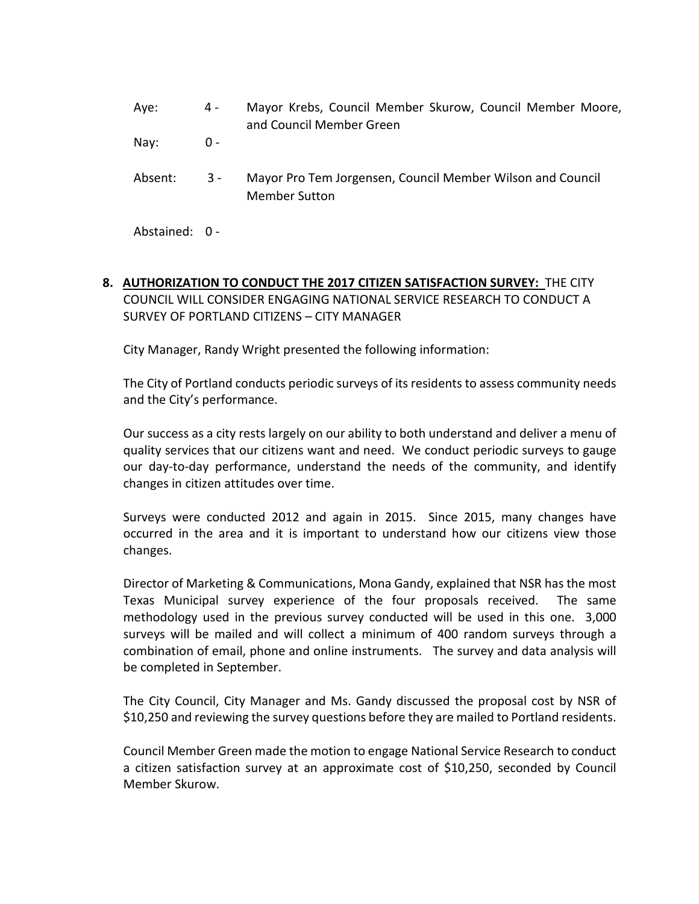Aye: 4 - Mayor Krebs, Council Member Skurow, Council Member Moore, and Council Member Green

Nay: 0 -

Absent: 3 - Mayor Pro Tem Jorgensen, Council Member Wilson and Council Member Sutton

Abstained: 0 -

**8. AUTHORIZATION TO CONDUCT THE 2017 CITIZEN SATISFACTION SURVEY:** THE CITY COUNCIL WILL CONSIDER ENGAGING NATIONAL SERVICE RESEARCH TO CONDUCT A SURVEY OF PORTLAND CITIZENS – CITY MANAGER

City Manager, Randy Wright presented the following information:

The City of Portland conducts periodic surveys of its residents to assess community needs and the City's performance.

Our success as a city rests largely on our ability to both understand and deliver a menu of quality services that our citizens want and need. We conduct periodic surveys to gauge our day-to-day performance, understand the needs of the community, and identify changes in citizen attitudes over time.

Surveys were conducted 2012 and again in 2015. Since 2015, many changes have occurred in the area and it is important to understand how our citizens view those changes.

Director of Marketing & Communications, Mona Gandy, explained that NSR has the most Texas Municipal survey experience of the four proposals received. The same methodology used in the previous survey conducted will be used in this one. 3,000 surveys will be mailed and will collect a minimum of 400 random surveys through a combination of email, phone and online instruments. The survey and data analysis will be completed in September.

The City Council, City Manager and Ms. Gandy discussed the proposal cost by NSR of \$10,250 and reviewing the survey questions before they are mailed to Portland residents.

Council Member Green made the motion to engage National Service Research to conduct a citizen satisfaction survey at an approximate cost of \$10,250, seconded by Council Member Skurow.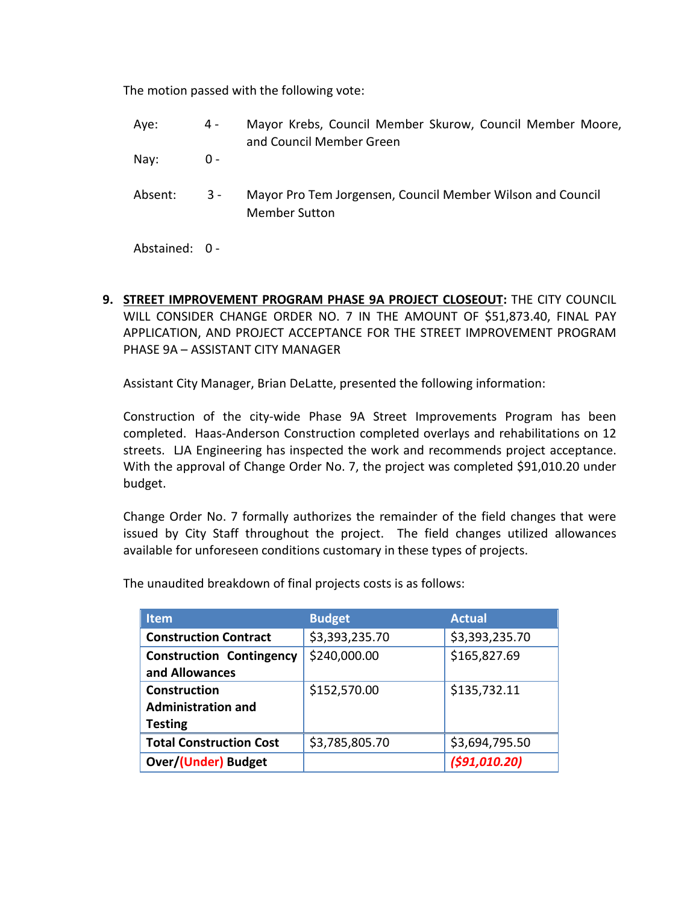The motion passed with the following vote:

- Aye: 4 Mayor Krebs, Council Member Skurow, Council Member Moore, and Council Member Green
- Nay: 0 -
- Absent: 3 Mayor Pro Tem Jorgensen, Council Member Wilson and Council Member Sutton

Abstained: 0 -

**9. STREET IMPROVEMENT PROGRAM PHASE 9A PROJECT CLOSEOUT:** THE CITY COUNCIL WILL CONSIDER CHANGE ORDER NO. 7 IN THE AMOUNT OF \$51,873.40, FINAL PAY APPLICATION, AND PROJECT ACCEPTANCE FOR THE STREET IMPROVEMENT PROGRAM PHASE 9A – ASSISTANT CITY MANAGER

Assistant City Manager, Brian DeLatte, presented the following information:

Construction of the city-wide Phase 9A Street Improvements Program has been completed. Haas-Anderson Construction completed overlays and rehabilitations on 12 streets. LJA Engineering has inspected the work and recommends project acceptance. With the approval of Change Order No. 7, the project was completed \$91,010.20 under budget.

Change Order No. 7 formally authorizes the remainder of the field changes that were issued by City Staff throughout the project. The field changes utilized allowances available for unforeseen conditions customary in these types of projects.

| <b>Item</b>                     | <b>Budget</b>  | <b>Actual</b>  |
|---------------------------------|----------------|----------------|
| <b>Construction Contract</b>    | \$3,393,235.70 | \$3,393,235.70 |
| <b>Construction Contingency</b> | \$240,000.00   | \$165,827.69   |
| and Allowances                  |                |                |
| <b>Construction</b>             | \$152,570.00   | \$135,732.11   |
| <b>Administration and</b>       |                |                |
| <b>Testing</b>                  |                |                |
| <b>Total Construction Cost</b>  | \$3,785,805.70 | \$3,694,795.50 |
| <b>Over/(Under) Budget</b>      |                | (591, 010.20)  |

The unaudited breakdown of final projects costs is as follows: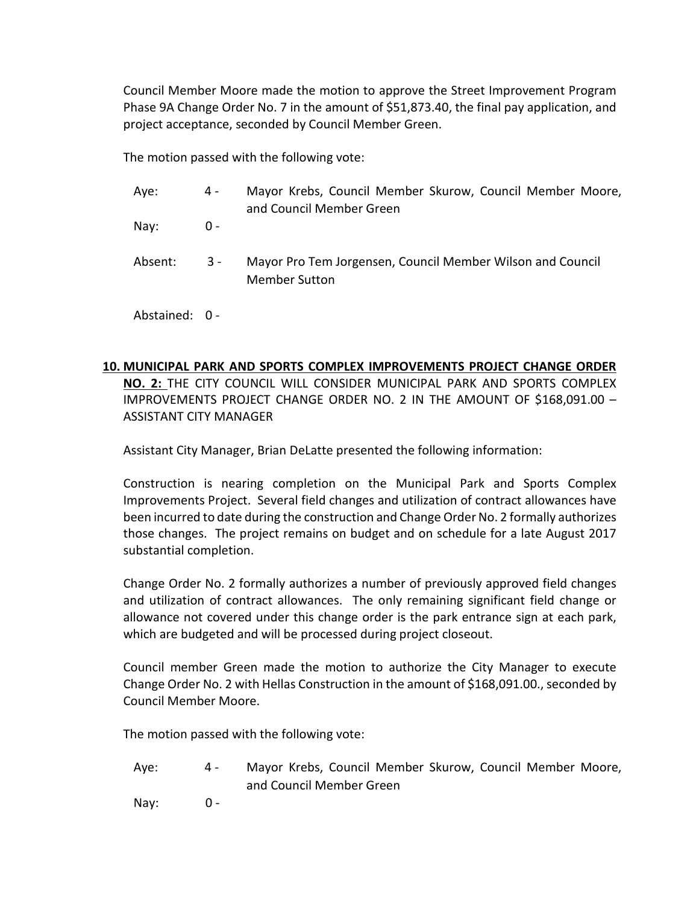Council Member Moore made the motion to approve the Street Improvement Program Phase 9A Change Order No. 7 in the amount of \$51,873.40, the final pay application, and project acceptance, seconded by Council Member Green.

The motion passed with the following vote:

- Aye: 4 Mayor Krebs, Council Member Skurow, Council Member Moore, and Council Member Green Nay: 0 -
- Absent: 3 Mayor Pro Tem Jorgensen, Council Member Wilson and Council Member Sutton
- Abstained: 0 -

# **10. MUNICIPAL PARK AND SPORTS COMPLEX IMPROVEMENTS PROJECT CHANGE ORDER**

**NO. 2:** THE CITY COUNCIL WILL CONSIDER MUNICIPAL PARK AND SPORTS COMPLEX IMPROVEMENTS PROJECT CHANGE ORDER NO. 2 IN THE AMOUNT OF \$168,091.00 – ASSISTANT CITY MANAGER

Assistant City Manager, Brian DeLatte presented the following information:

Construction is nearing completion on the Municipal Park and Sports Complex Improvements Project. Several field changes and utilization of contract allowances have been incurred to date during the construction and Change Order No. 2 formally authorizes those changes. The project remains on budget and on schedule for a late August 2017 substantial completion.

Change Order No. 2 formally authorizes a number of previously approved field changes and utilization of contract allowances. The only remaining significant field change or allowance not covered under this change order is the park entrance sign at each park, which are budgeted and will be processed during project closeout.

Council member Green made the motion to authorize the City Manager to execute Change Order No. 2 with Hellas Construction in the amount of \$168,091.00., seconded by Council Member Moore.

The motion passed with the following vote:

Aye: 4 - Mayor Krebs, Council Member Skurow, Council Member Moore, and Council Member Green

Nay: 0 -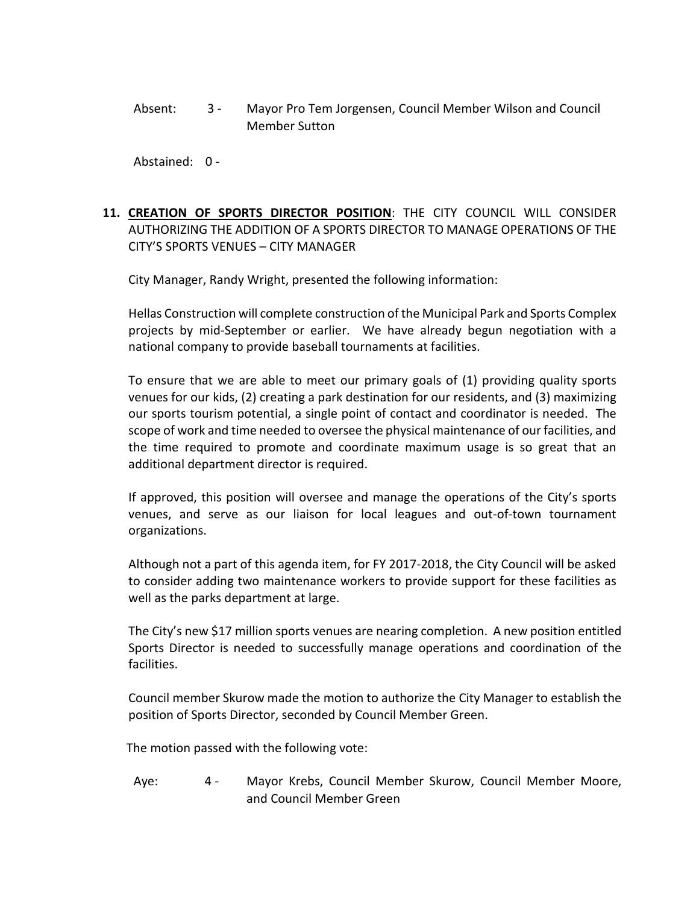Absent: 3 - Mayor Pro Tem Jorgensen, Council Member Wilson and Council Member Sutton

Abstained: 0 -

# **11. CREATION OF SPORTS DIRECTOR POSITION**: THE CITY COUNCIL WILL CONSIDER AUTHORIZING THE ADDITION OF A SPORTS DIRECTOR TO MANAGE OPERATIONS OF THE CITY'S SPORTS VENUES – CITY MANAGER

City Manager, Randy Wright, presented the following information:

Hellas Construction will complete construction of the Municipal Park and Sports Complex projects by mid-September or earlier. We have already begun negotiation with a national company to provide baseball tournaments at facilities.

To ensure that we are able to meet our primary goals of (1) providing quality sports venues for our kids, (2) creating a park destination for our residents, and (3) maximizing our sports tourism potential, a single point of contact and coordinator is needed. The scope of work and time needed to oversee the physical maintenance of our facilities, and the time required to promote and coordinate maximum usage is so great that an additional department director is required.

If approved, this position will oversee and manage the operations of the City's sports venues, and serve as our liaison for local leagues and out-of-town tournament organizations.

Although not a part of this agenda item, for FY 2017-2018, the City Council will be asked to consider adding two maintenance workers to provide support for these facilities as well as the parks department at large.

The City's new \$17 million sports venues are nearing completion. A new position entitled Sports Director is needed to successfully manage operations and coordination of the facilities.

Council member Skurow made the motion to authorize the City Manager to establish the position of Sports Director, seconded by Council Member Green.

The motion passed with the following vote:

Aye: 4 - Mayor Krebs, Council Member Skurow, Council Member Moore, and Council Member Green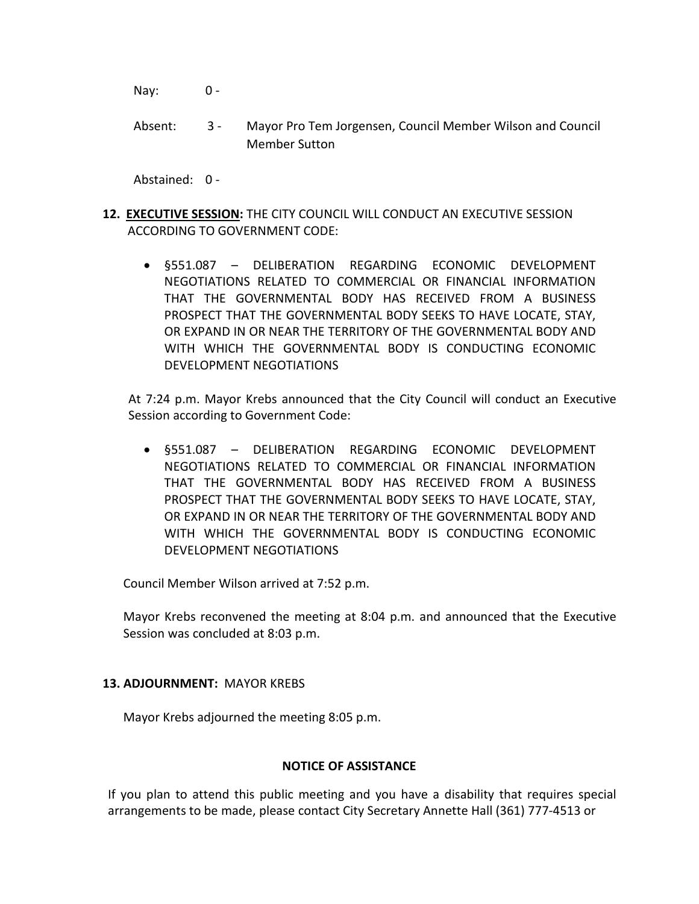Nay: 0 -

Absent: 3 - Mayor Pro Tem Jorgensen, Council Member Wilson and Council Member Sutton

Abstained: 0 -

- **12. EXECUTIVE SESSION:** THE CITY COUNCIL WILL CONDUCT AN EXECUTIVE SESSION ACCORDING TO GOVERNMENT CODE:
	- §551.087 DELIBERATION REGARDING ECONOMIC DEVELOPMENT NEGOTIATIONS RELATED TO COMMERCIAL OR FINANCIAL INFORMATION THAT THE GOVERNMENTAL BODY HAS RECEIVED FROM A BUSINESS PROSPECT THAT THE GOVERNMENTAL BODY SEEKS TO HAVE LOCATE, STAY, OR EXPAND IN OR NEAR THE TERRITORY OF THE GOVERNMENTAL BODY AND WITH WHICH THE GOVERNMENTAL BODY IS CONDUCTING ECONOMIC DEVELOPMENT NEGOTIATIONS

At 7:24 p.m. Mayor Krebs announced that the City Council will conduct an Executive Session according to Government Code:

• §551.087 – DELIBERATION REGARDING ECONOMIC DEVELOPMENT NEGOTIATIONS RELATED TO COMMERCIAL OR FINANCIAL INFORMATION THAT THE GOVERNMENTAL BODY HAS RECEIVED FROM A BUSINESS PROSPECT THAT THE GOVERNMENTAL BODY SEEKS TO HAVE LOCATE, STAY, OR EXPAND IN OR NEAR THE TERRITORY OF THE GOVERNMENTAL BODY AND WITH WHICH THE GOVERNMENTAL BODY IS CONDUCTING ECONOMIC DEVELOPMENT NEGOTIATIONS

Council Member Wilson arrived at 7:52 p.m.

Mayor Krebs reconvened the meeting at 8:04 p.m. and announced that the Executive Session was concluded at 8:03 p.m.

## **13. ADJOURNMENT:** MAYOR KREBS

Mayor Krebs adjourned the meeting 8:05 p.m.

#### **NOTICE OF ASSISTANCE**

If you plan to attend this public meeting and you have a disability that requires special arrangements to be made, please contact City Secretary Annette Hall (361) 777-4513 or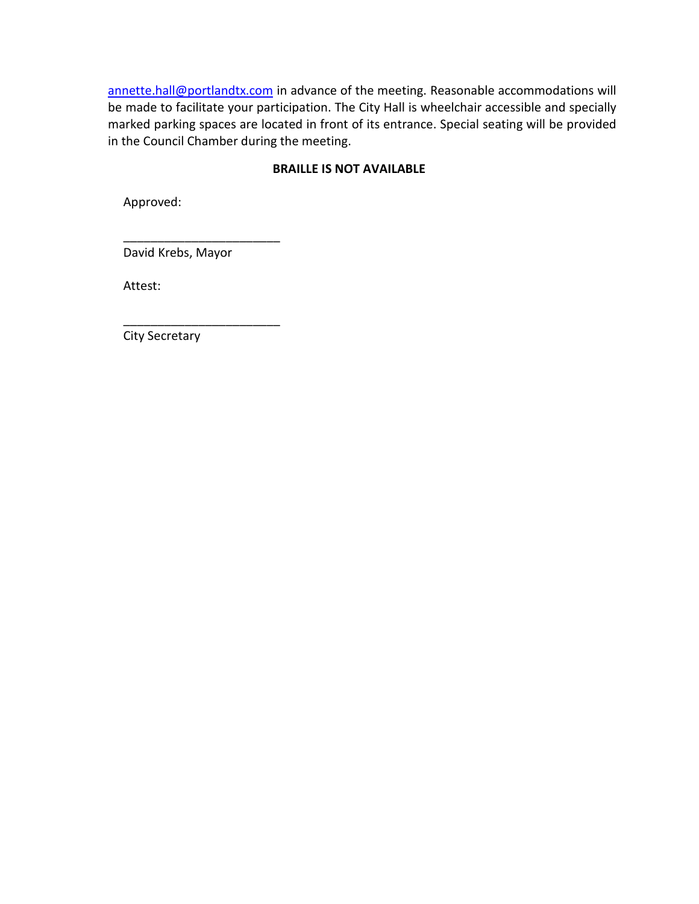[annette.hall@portlandtx.com](mailto:annette.hall@portlandtx.com) in advance of the meeting. Reasonable accommodations will be made to facilitate your participation. The City Hall is wheelchair accessible and specially marked parking spaces are located in front of its entrance. Special seating will be provided in the Council Chamber during the meeting.

## **BRAILLE IS NOT AVAILABLE**

Approved:

David Krebs, Mayor

\_\_\_\_\_\_\_\_\_\_\_\_\_\_\_\_\_\_\_\_\_\_\_

\_\_\_\_\_\_\_\_\_\_\_\_\_\_\_\_\_\_\_\_\_\_\_

Attest:

City Secretary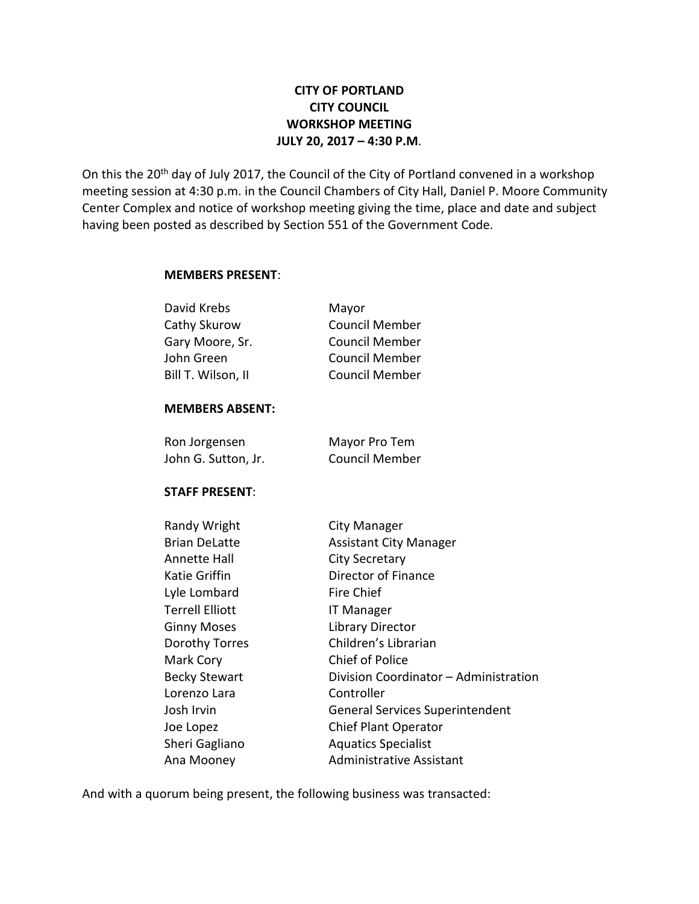# **CITY OF PORTLAND CITY COUNCIL WORKSHOP MEETING JULY 20, 2017 – 4:30 P.M**.

On this the 20<sup>th</sup> day of July 2017, the Council of the City of Portland convened in a workshop meeting session at 4:30 p.m. in the Council Chambers of City Hall, Daniel P. Moore Community Center Complex and notice of workshop meeting giving the time, place and date and subject having been posted as described by Section 551 of the Government Code.

#### **MEMBERS PRESENT**:

| David Krebs        | Mayor                 |
|--------------------|-----------------------|
| Cathy Skurow       | <b>Council Member</b> |
| Gary Moore, Sr.    | <b>Council Member</b> |
| John Green         | <b>Council Member</b> |
| Bill T. Wilson, II | <b>Council Member</b> |
|                    |                       |

#### **MEMBERS ABSENT:**

| Ron Jorgensen       | Mayor Pro Tem         |
|---------------------|-----------------------|
| John G. Sutton, Jr. | <b>Council Member</b> |

## **STAFF PRESENT**:

| Randy Wright         | City Manager                           |
|----------------------|----------------------------------------|
| <b>Brian DeLatte</b> | <b>Assistant City Manager</b>          |
| Annette Hall         | <b>City Secretary</b>                  |
| Katie Griffin        | Director of Finance                    |
| Lyle Lombard         | <b>Fire Chief</b>                      |
| Terrell Elliott      | <b>IT Manager</b>                      |
| <b>Ginny Moses</b>   | Library Director                       |
| Dorothy Torres       | Children's Librarian                   |
| Mark Cory            | <b>Chief of Police</b>                 |
| <b>Becky Stewart</b> | Division Coordinator - Administration  |
| Lorenzo Lara         | Controller                             |
| Josh Irvin           | <b>General Services Superintendent</b> |
| Joe Lopez            | <b>Chief Plant Operator</b>            |
| Sheri Gagliano       | <b>Aquatics Specialist</b>             |
| Ana Mooney           | <b>Administrative Assistant</b>        |

And with a quorum being present, the following business was transacted: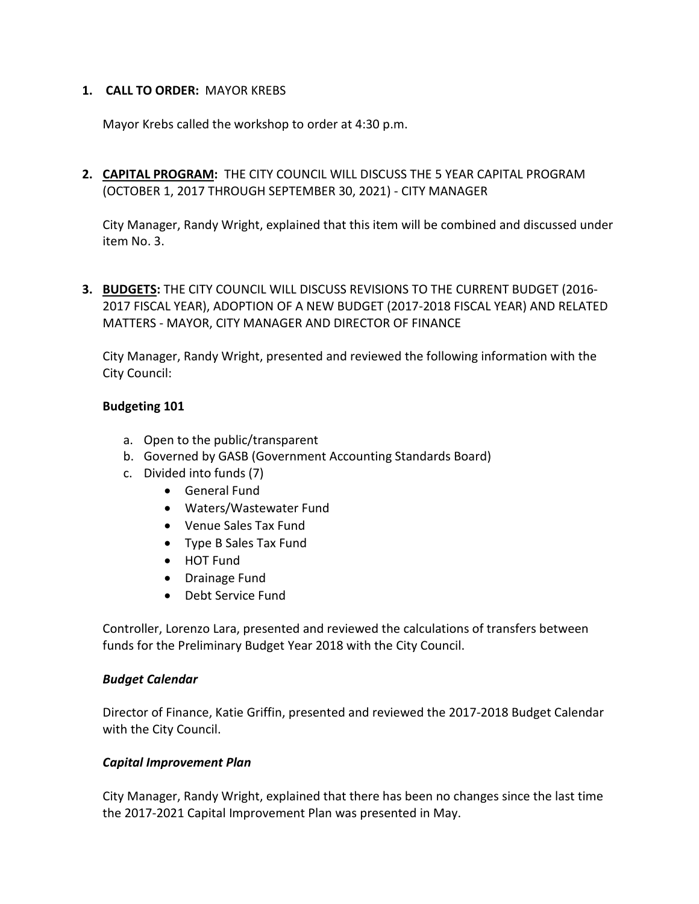## **1. CALL TO ORDER:** MAYOR KREBS

Mayor Krebs called the workshop to order at 4:30 p.m.

**2. CAPITAL PROGRAM:** THE CITY COUNCIL WILL DISCUSS THE 5 YEAR CAPITAL PROGRAM (OCTOBER 1, 2017 THROUGH SEPTEMBER 30, 2021) - CITY MANAGER

City Manager, Randy Wright, explained that this item will be combined and discussed under item No. 3.

**3. BUDGETS:** THE CITY COUNCIL WILL DISCUSS REVISIONS TO THE CURRENT BUDGET (2016- 2017 FISCAL YEAR), ADOPTION OF A NEW BUDGET (2017-2018 FISCAL YEAR) AND RELATED MATTERS - MAYOR, CITY MANAGER AND DIRECTOR OF FINANCE

City Manager, Randy Wright, presented and reviewed the following information with the City Council:

## **Budgeting 101**

- a. Open to the public/transparent
- b. Governed by GASB (Government Accounting Standards Board)
- c. Divided into funds (7)
	- General Fund
	- Waters/Wastewater Fund
	- Venue Sales Tax Fund
	- Type B Sales Tax Fund
	- HOT Fund
	- Drainage Fund
	- Debt Service Fund

Controller, Lorenzo Lara, presented and reviewed the calculations of transfers between funds for the Preliminary Budget Year 2018 with the City Council.

#### *Budget Calendar*

Director of Finance, Katie Griffin, presented and reviewed the 2017-2018 Budget Calendar with the City Council.

## *Capital Improvement Plan*

City Manager, Randy Wright, explained that there has been no changes since the last time the 2017-2021 Capital Improvement Plan was presented in May.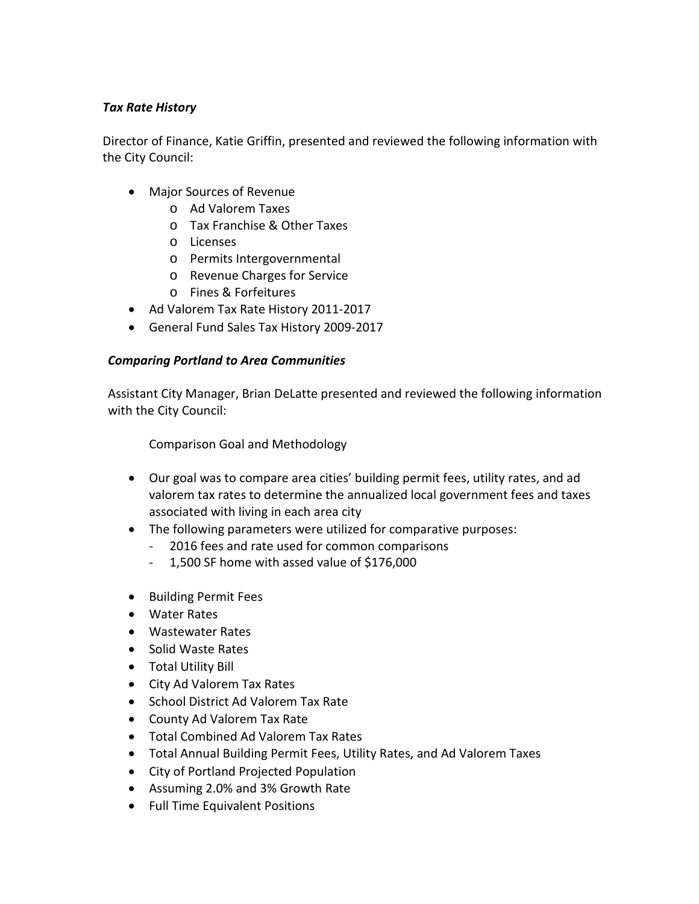## *Tax Rate History*

Director of Finance, Katie Griffin, presented and reviewed the following information with the City Council:

- Major Sources of Revenue
	- o Ad Valorem Taxes
	- o Tax Franchise & Other Taxes
	- o Licenses
	- o Permits Intergovernmental
	- o Revenue Charges for Service
	- o Fines & Forfeitures
- Ad Valorem Tax Rate History 2011-2017
- General Fund Sales Tax History 2009-2017

# *Comparing Portland to Area Communities*

Assistant City Manager, Brian DeLatte presented and reviewed the following information with the City Council:

Comparison Goal and Methodology

- Our goal was to compare area cities' building permit fees, utility rates, and ad valorem tax rates to determine the annualized local government fees and taxes associated with living in each area city
- The following parameters were utilized for comparative purposes:
	- 2016 fees and rate used for common comparisons
	- 1,500 SF home with assed value of \$176,000
- Building Permit Fees
- Water Rates
- Wastewater Rates
- Solid Waste Rates
- Total Utility Bill
- City Ad Valorem Tax Rates
- School District Ad Valorem Tax Rate
- County Ad Valorem Tax Rate
- Total Combined Ad Valorem Tax Rates
- Total Annual Building Permit Fees, Utility Rates, and Ad Valorem Taxes
- City of Portland Projected Population
- Assuming 2.0% and 3% Growth Rate
- Full Time Equivalent Positions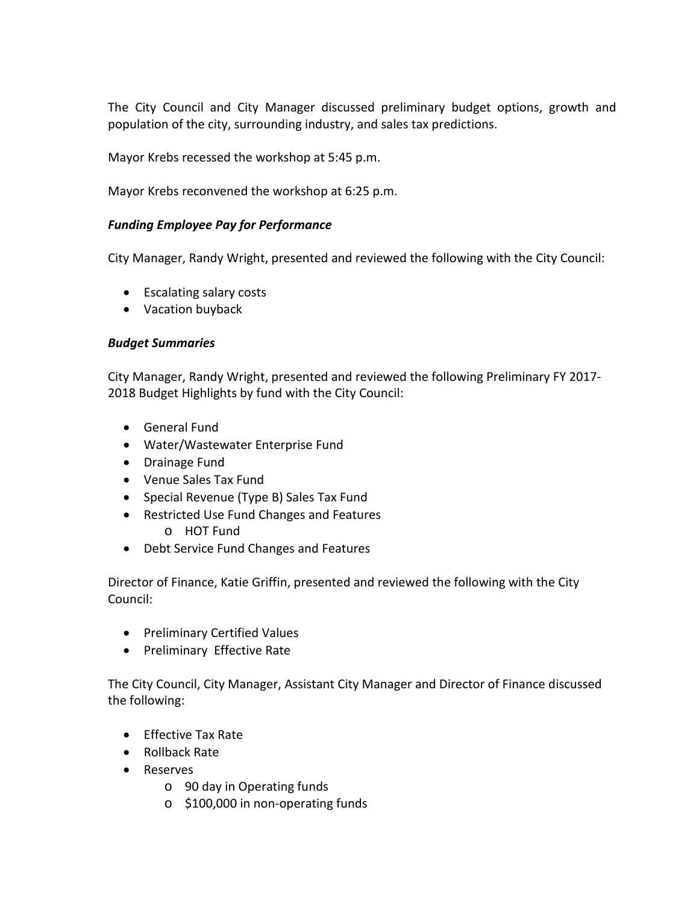The City Council and City Manager discussed preliminary budget options, growth and population of the city, surrounding industry, and sales tax predictions.

Mayor Krebs recessed the workshop at 5:45 p.m.

Mayor Krebs reconvened the workshop at 6:25 p.m.

## *Funding Employee Pay for Performance*

City Manager, Randy Wright, presented and reviewed the following with the City Council:

- Escalating salary costs
- Vacation buyback

## *Budget Summaries*

City Manager, Randy Wright, presented and reviewed the following Preliminary FY 2017- 2018 Budget Highlights by fund with the City Council:

- General Fund
- Water/Wastewater Enterprise Fund
- Drainage Fund
- Venue Sales Tax Fund
- Special Revenue (Type B) Sales Tax Fund
- Restricted Use Fund Changes and Features o HOT Fund
- Debt Service Fund Changes and Features

Director of Finance, Katie Griffin, presented and reviewed the following with the City Council:

- Preliminary Certified Values
- Preliminary Effective Rate

The City Council, City Manager, Assistant City Manager and Director of Finance discussed the following:

- Effective Tax Rate
- Rollback Rate
- Reserves
	- o 90 day in Operating funds
	- o \$100,000 in non-operating funds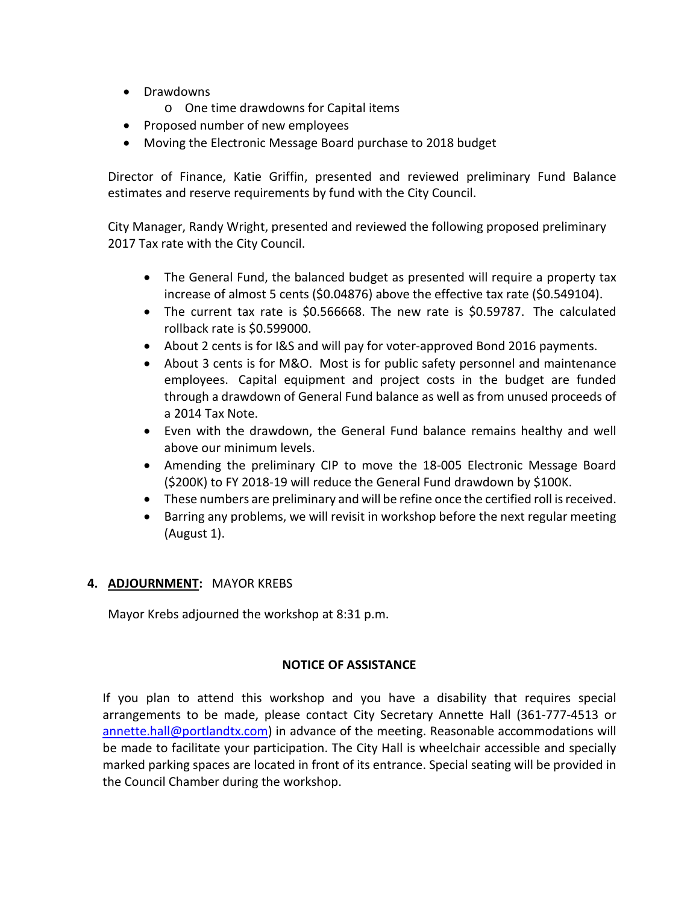- Drawdowns
	- o One time drawdowns for Capital items
- Proposed number of new employees
- Moving the Electronic Message Board purchase to 2018 budget

Director of Finance, Katie Griffin, presented and reviewed preliminary Fund Balance estimates and reserve requirements by fund with the City Council.

City Manager, Randy Wright, presented and reviewed the following proposed preliminary 2017 Tax rate with the City Council.

- The General Fund, the balanced budget as presented will require a property tax increase of almost 5 cents (\$0.04876) above the effective tax rate (\$0.549104).
- The current tax rate is \$0.566668. The new rate is \$0.59787. The calculated rollback rate is \$0.599000.
- About 2 cents is for I&S and will pay for voter-approved Bond 2016 payments.
- About 3 cents is for M&O. Most is for public safety personnel and maintenance employees. Capital equipment and project costs in the budget are funded through a drawdown of General Fund balance as well as from unused proceeds of a 2014 Tax Note.
- Even with the drawdown, the General Fund balance remains healthy and well above our minimum levels.
- Amending the preliminary CIP to move the 18-005 Electronic Message Board (\$200K) to FY 2018-19 will reduce the General Fund drawdown by \$100K.
- These numbers are preliminary and will be refine once the certified roll is received.
- Barring any problems, we will revisit in workshop before the next regular meeting (August 1).

# **4. ADJOURNMENT:** MAYOR KREBS

Mayor Krebs adjourned the workshop at 8:31 p.m.

## **NOTICE OF ASSISTANCE**

If you plan to attend this workshop and you have a disability that requires special arrangements to be made, please contact City Secretary Annette Hall (361-777-4513 or [annette.hall@portlandtx.com\)](mailto:arodriguez@portlandtx.com) in advance of the meeting. Reasonable accommodations will be made to facilitate your participation. The City Hall is wheelchair accessible and specially marked parking spaces are located in front of its entrance. Special seating will be provided in the Council Chamber during the workshop.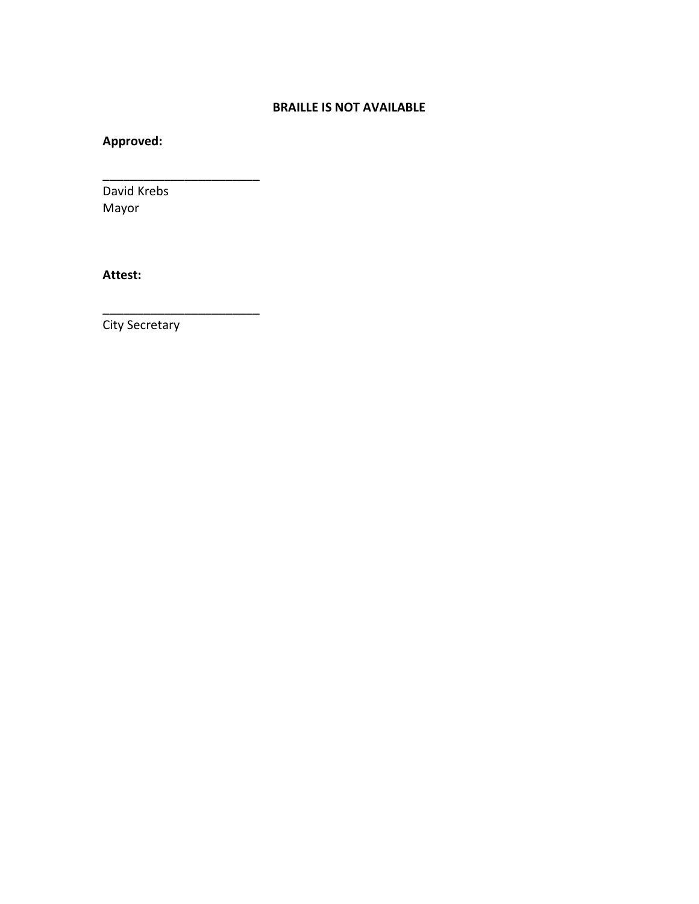## **BRAILLE IS NOT AVAILABLE**

# **Approved:**

David Krebs Mayor

\_\_\_\_\_\_\_\_\_\_\_\_\_\_\_\_\_\_\_\_\_\_\_

\_\_\_\_\_\_\_\_\_\_\_\_\_\_\_\_\_\_\_\_\_\_\_

**Attest:**

City Secretary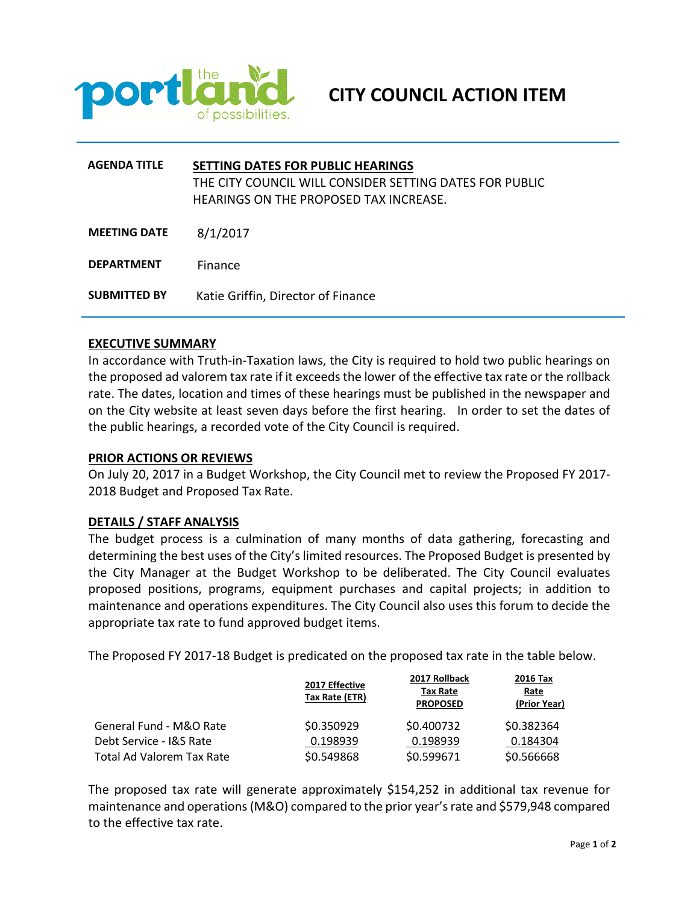

| <b>AGENDA TITLE</b> | SETTING DATES FOR PUBLIC HEARINGS<br>THE CITY COUNCIL WILL CONSIDER SETTING DATES FOR PUBLIC<br><b>HEARINGS ON THE PROPOSED TAX INCREASE.</b> |
|---------------------|-----------------------------------------------------------------------------------------------------------------------------------------------|
| <b>MEETING DATE</b> | 8/1/2017                                                                                                                                      |
| <b>DEPARTMENT</b>   | Finance                                                                                                                                       |
| <b>SUBMITTED BY</b> | Katie Griffin, Director of Finance                                                                                                            |

#### **EXECUTIVE SUMMARY**

In accordance with Truth-in-Taxation laws, the City is required to hold two public hearings on the proposed ad valorem tax rate if it exceeds the lower of the effective tax rate or the rollback rate. The dates, location and times of these hearings must be published in the newspaper and on the City website at least seven days before the first hearing. In order to set the dates of the public hearings, a recorded vote of the City Council is required.

#### **PRIOR ACTIONS OR REVIEWS**

On July 20, 2017 in a Budget Workshop, the City Council met to review the Proposed FY 2017- 2018 Budget and Proposed Tax Rate.

#### **DETAILS / STAFF ANALYSIS**

The budget process is a culmination of many months of data gathering, forecasting and determining the best uses of the City's limited resources. The Proposed Budget is presented by the City Manager at the Budget Workshop to be deliberated. The City Council evaluates proposed positions, programs, equipment purchases and capital projects; in addition to maintenance and operations expenditures. The City Council also uses this forum to decide the appropriate tax rate to fund approved budget items.

The Proposed FY 2017-18 Budget is predicated on the proposed tax rate in the table below.

|                           | 2017 Effective<br>Tax Rate (ETR) | 2017 Rollback<br>Tax Rate<br><b>PROPOSED</b> | 2016 Tax<br>Rate<br>(Prior Year) |
|---------------------------|----------------------------------|----------------------------------------------|----------------------------------|
| General Fund - M&O Rate   | \$0.350929                       | \$0.400732                                   | \$0.382364                       |
| Debt Service - I&S Rate   | 0.198939                         | 0.198939                                     | 0.184304                         |
| Total Ad Valorem Tax Rate | \$0.549868                       | \$0.599671                                   | \$0.566668                       |

The proposed tax rate will generate approximately \$154,252 in additional tax revenue for maintenance and operations(M&O) compared to the prior year's rate and \$579,948 compared to the effective tax rate.